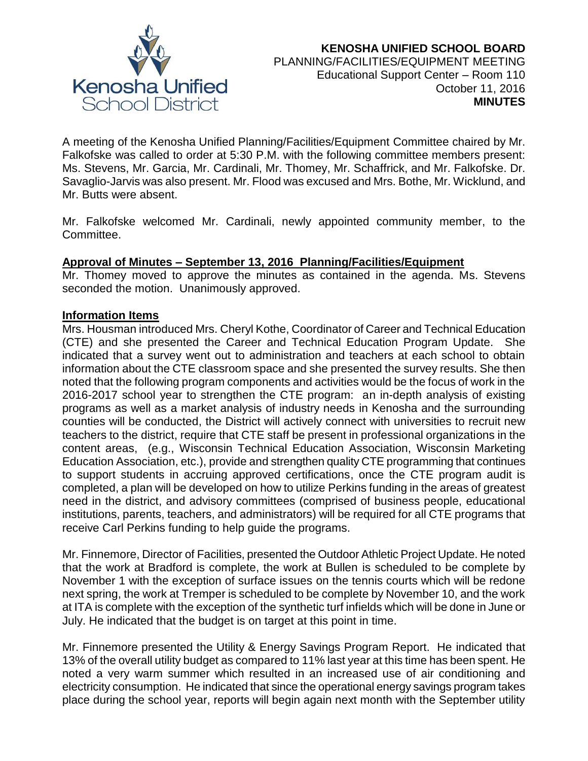

A meeting of the Kenosha Unified Planning/Facilities/Equipment Committee chaired by Mr. Falkofske was called to order at 5:30 P.M. with the following committee members present: Ms. Stevens, Mr. Garcia, Mr. Cardinali, Mr. Thomey, Mr. Schaffrick, and Mr. Falkofske. Dr. Savaglio-Jarvis was also present. Mr. Flood was excused and Mrs. Bothe, Mr. Wicklund, and Mr. Butts were absent.

Mr. Falkofske welcomed Mr. Cardinali, newly appointed community member, to the Committee.

# **Approval of Minutes – September 13, 2016 Planning/Facilities/Equipment**

Mr. Thomey moved to approve the minutes as contained in the agenda. Ms. Stevens seconded the motion. Unanimously approved.

# **Information Items**

Mrs. Housman introduced Mrs. Cheryl Kothe, Coordinator of Career and Technical Education (CTE) and she presented the Career and Technical Education Program Update. She indicated that a survey went out to administration and teachers at each school to obtain information about the CTE classroom space and she presented the survey results. She then noted that the following program components and activities would be the focus of work in the 2016-2017 school year to strengthen the CTE program: an in-depth analysis of existing programs as well as a market analysis of industry needs in Kenosha and the surrounding counties will be conducted, the District will actively connect with universities to recruit new teachers to the district, require that CTE staff be present in professional organizations in the content areas, (e.g., Wisconsin Technical Education Association, Wisconsin Marketing Education Association, etc.), provide and strengthen quality CTE programming that continues to support students in accruing approved certifications, once the CTE program audit is completed, a plan will be developed on how to utilize Perkins funding in the areas of greatest need in the district, and advisory committees (comprised of business people, educational institutions, parents, teachers, and administrators) will be required for all CTE programs that receive Carl Perkins funding to help guide the programs.

Mr. Finnemore, Director of Facilities, presented the Outdoor Athletic Project Update. He noted that the work at Bradford is complete, the work at Bullen is scheduled to be complete by November 1 with the exception of surface issues on the tennis courts which will be redone next spring, the work at Tremper is scheduled to be complete by November 10, and the work at ITA is complete with the exception of the synthetic turf infields which will be done in June or July. He indicated that the budget is on target at this point in time.

Mr. Finnemore presented the Utility & Energy Savings Program Report. He indicated that 13% of the overall utility budget as compared to 11% last year at this time has been spent. He noted a very warm summer which resulted in an increased use of air conditioning and electricity consumption. He indicated that since the operational energy savings program takes place during the school year, reports will begin again next month with the September utility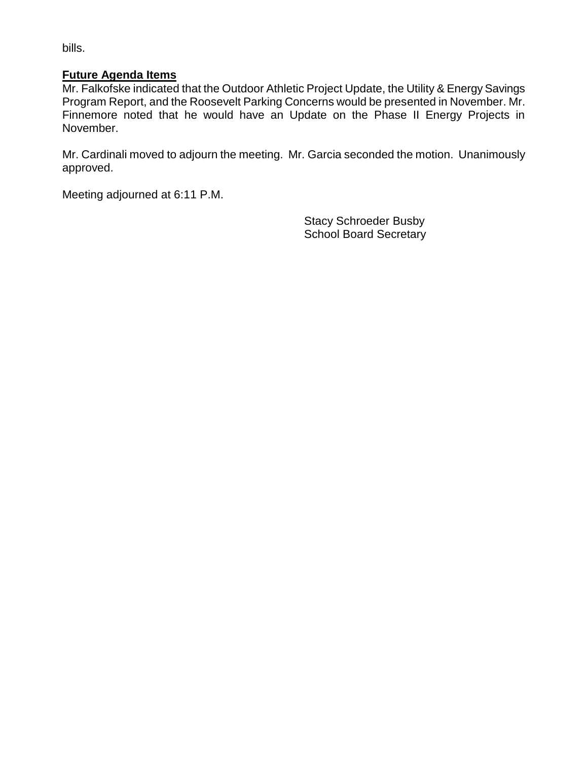bills.

# **Future Agenda Items**

Mr. Falkofske indicated that the Outdoor Athletic Project Update, the Utility & Energy Savings Program Report, and the Roosevelt Parking Concerns would be presented in November. Mr. Finnemore noted that he would have an Update on the Phase II Energy Projects in November.

Mr. Cardinali moved to adjourn the meeting. Mr. Garcia seconded the motion. Unanimously approved.

Meeting adjourned at 6:11 P.M.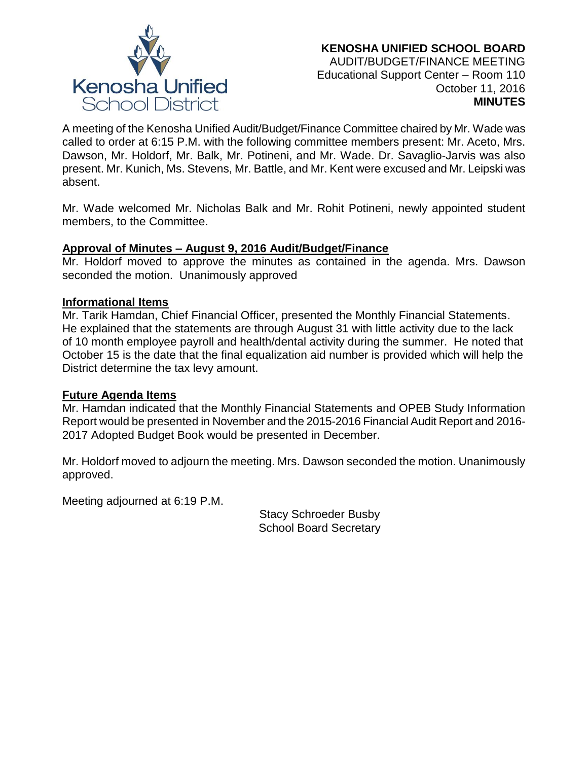

A meeting of the Kenosha Unified Audit/Budget/Finance Committee chaired by Mr. Wade was called to order at 6:15 P.M. with the following committee members present: Mr. Aceto, Mrs. Dawson, Mr. Holdorf, Mr. Balk, Mr. Potineni, and Mr. Wade. Dr. Savaglio-Jarvis was also present. Mr. Kunich, Ms. Stevens, Mr. Battle, and Mr. Kent were excused and Mr. Leipski was absent.

Mr. Wade welcomed Mr. Nicholas Balk and Mr. Rohit Potineni, newly appointed student members, to the Committee.

# **Approval of Minutes – August 9, 2016 Audit/Budget/Finance**

Mr. Holdorf moved to approve the minutes as contained in the agenda. Mrs. Dawson seconded the motion. Unanimously approved

# **Informational Items**

Mr. Tarik Hamdan, Chief Financial Officer, presented the Monthly Financial Statements. He explained that the statements are through August 31 with little activity due to the lack of 10 month employee payroll and health/dental activity during the summer. He noted that October 15 is the date that the final equalization aid number is provided which will help the District determine the tax levy amount.

# **Future Agenda Items**

Mr. Hamdan indicated that the Monthly Financial Statements and OPEB Study Information Report would be presented in November and the 2015-2016 Financial Audit Report and 2016- 2017 Adopted Budget Book would be presented in December.

Mr. Holdorf moved to adjourn the meeting. Mrs. Dawson seconded the motion. Unanimously approved.

Meeting adjourned at 6:19 P.M.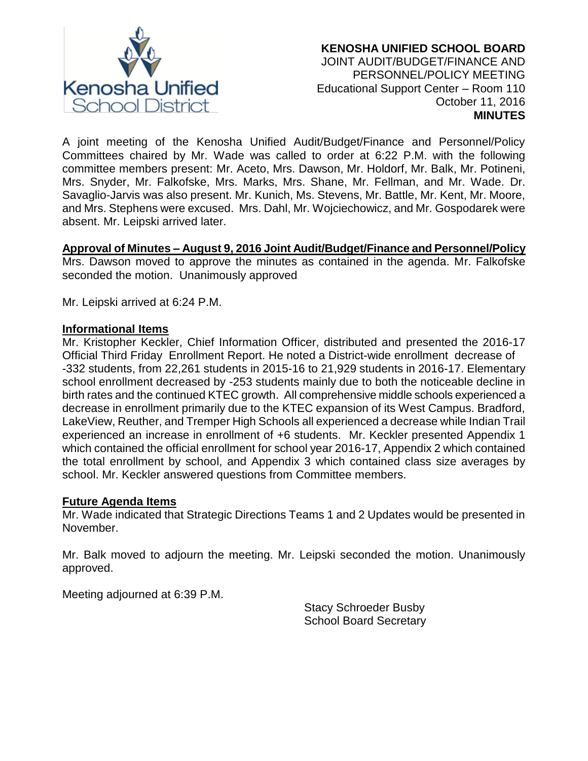

A joint meeting of the Kenosha Unified Audit/Budget/Finance and Personnel/Policy Committees chaired by Mr. Wade was called to order at 6:22 P.M. with the following committee members present: Mr. Aceto, Mrs. Dawson, Mr. Holdorf, Mr. Balk, Mr. Potineni, Mrs. Snyder, Mr. Falkofske, Mrs. Marks, Mrs. Shane, Mr. Fellman, and Mr. Wade. Dr. Savaglio-Jarvis was also present. Mr. Kunich, Ms. Stevens, Mr. Battle, Mr. Kent, Mr. Moore, and Mrs. Stephens were excused. Mrs. Dahl, Mr. Wojciechowicz, and Mr. Gospodarek were absent. Mr. Leipski arrived later.

# **Approval of Minutes – August 9, 2016 Joint Audit/Budget/Finance and Personnel/Policy**

Mrs. Dawson moved to approve the minutes as contained in the agenda. Mr. Falkofske seconded the motion. Unanimously approved

Mr. Leipski arrived at 6:24 P.M.

#### **Informational Items**

Mr. Kristopher Keckler, Chief Information Officer, distributed and presented the 2016-17 Official Third Friday Enrollment Report. He noted a District-wide enrollment decrease of -332 students, from 22,261 students in 2015-16 to 21,929 students in 2016-17. Elementary school enrollment decreased by -253 students mainly due to both the noticeable decline in birth rates and the continued KTEC growth. All comprehensive middle schools experienced a decrease in enrollment primarily due to the KTEC expansion of its West Campus. Bradford, LakeView, Reuther, and Tremper High Schools all experienced a decrease while Indian Trail experienced an increase in enrollment of +6 students. Mr. Keckler presented Appendix 1 which contained the official enrollment for school year 2016-17, Appendix 2 which contained the total enrollment by school, and Appendix 3 which contained class size averages by school. Mr. Keckler answered questions from Committee members.

# **Future Agenda Items**

Mr. Wade indicated that Strategic Directions Teams 1 and 2 Updates would be presented in November.

Mr. Balk moved to adjourn the meeting. Mr. Leipski seconded the motion. Unanimously approved.

Meeting adjourned at 6:39 P.M.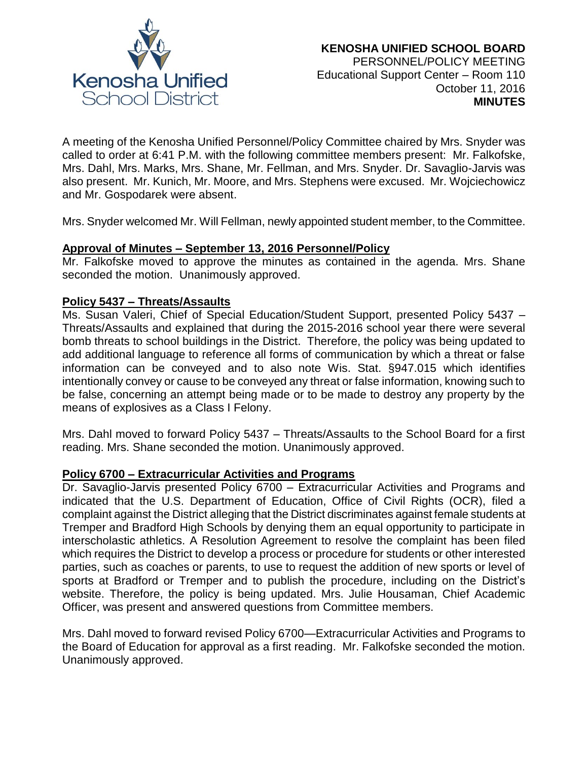

A meeting of the Kenosha Unified Personnel/Policy Committee chaired by Mrs. Snyder was called to order at 6:41 P.M. with the following committee members present: Mr. Falkofske, Mrs. Dahl, Mrs. Marks, Mrs. Shane, Mr. Fellman, and Mrs. Snyder. Dr. Savaglio-Jarvis was also present. Mr. Kunich, Mr. Moore, and Mrs. Stephens were excused. Mr. Wojciechowicz and Mr. Gospodarek were absent.

Mrs. Snyder welcomed Mr. Will Fellman, newly appointed student member, to the Committee.

#### **Approval of Minutes – September 13, 2016 Personnel/Policy**

Mr. Falkofske moved to approve the minutes as contained in the agenda. Mrs. Shane seconded the motion. Unanimously approved.

### **Policy 5437 – Threats/Assaults**

Ms. Susan Valeri, Chief of Special Education/Student Support, presented Policy 5437 – Threats/Assaults and explained that during the 2015-2016 school year there were several bomb threats to school buildings in the District. Therefore, the policy was being updated to add additional language to reference all forms of communication by which a threat or false information can be conveyed and to also note Wis. Stat. §947.015 which identifies intentionally convey or cause to be conveyed any threat or false information, knowing such to be false, concerning an attempt being made or to be made to destroy any property by the means of explosives as a Class I Felony.

Mrs. Dahl moved to forward Policy 5437 – Threats/Assaults to the School Board for a first reading. Mrs. Shane seconded the motion. Unanimously approved.

#### **Policy 6700 – Extracurricular Activities and Programs**

Dr. Savaglio-Jarvis presented Policy 6700 – Extracurricular Activities and Programs and indicated that the U.S. Department of Education, Office of Civil Rights (OCR), filed a complaint against the District alleging that the District discriminates against female students at Tremper and Bradford High Schools by denying them an equal opportunity to participate in interscholastic athletics. A Resolution Agreement to resolve the complaint has been filed which requires the District to develop a process or procedure for students or other interested parties, such as coaches or parents, to use to request the addition of new sports or level of sports at Bradford or Tremper and to publish the procedure, including on the District's website. Therefore, the policy is being updated. Mrs. Julie Housaman, Chief Academic Officer, was present and answered questions from Committee members.

Mrs. Dahl moved to forward revised Policy 6700—Extracurricular Activities and Programs to the Board of Education for approval as a first reading. Mr. Falkofske seconded the motion. Unanimously approved.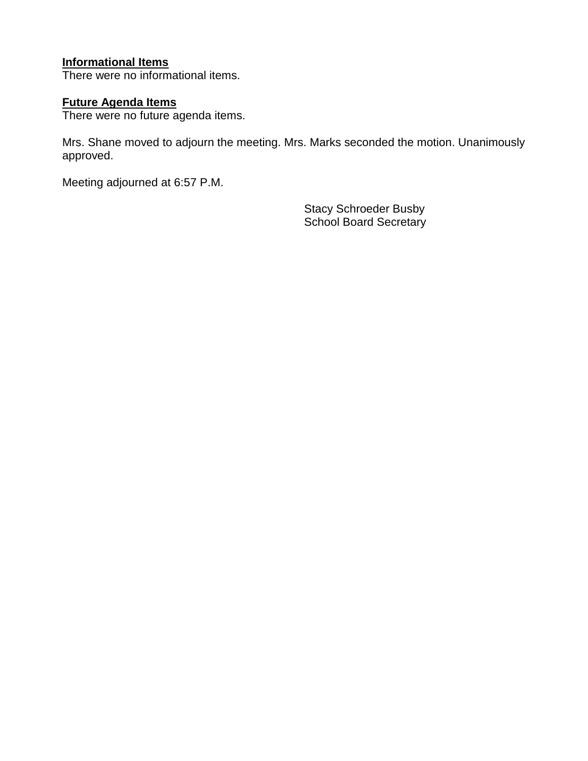# **Informational Items**

There were no informational items.

# **Future Agenda Items**

There were no future agenda items.

Mrs. Shane moved to adjourn the meeting. Mrs. Marks seconded the motion. Unanimously approved.

Meeting adjourned at 6:57 P.M.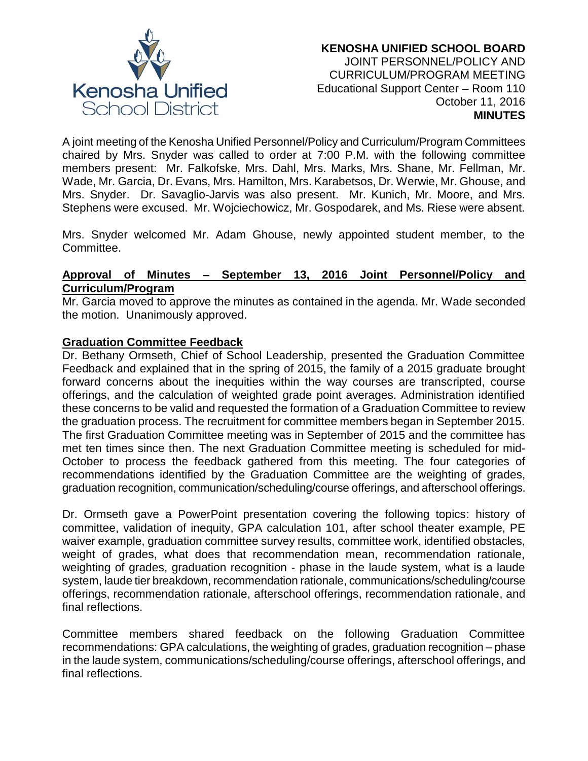

A joint meeting of the Kenosha Unified Personnel/Policy and Curriculum/Program Committees chaired by Mrs. Snyder was called to order at 7:00 P.M. with the following committee members present: Mr. Falkofske, Mrs. Dahl, Mrs. Marks, Mrs. Shane, Mr. Fellman, Mr. Wade, Mr. Garcia, Dr. Evans, Mrs. Hamilton, Mrs. Karabetsos, Dr. Werwie, Mr. Ghouse, and Mrs. Snyder. Dr. Savaglio-Jarvis was also present. Mr. Kunich, Mr. Moore, and Mrs. Stephens were excused. Mr. Wojciechowicz, Mr. Gospodarek, and Ms. Riese were absent.

Mrs. Snyder welcomed Mr. Adam Ghouse, newly appointed student member, to the Committee.

### **Approval of Minutes – September 13, 2016 Joint Personnel/Policy and Curriculum/Program**

Mr. Garcia moved to approve the minutes as contained in the agenda. Mr. Wade seconded the motion. Unanimously approved.

# **Graduation Committee Feedback**

Dr. Bethany Ormseth, Chief of School Leadership, presented the Graduation Committee Feedback and explained that in the spring of 2015, the family of a 2015 graduate brought forward concerns about the inequities within the way courses are transcripted, course offerings, and the calculation of weighted grade point averages. Administration identified these concerns to be valid and requested the formation of a Graduation Committee to review the graduation process. The recruitment for committee members began in September 2015. The first Graduation Committee meeting was in September of 2015 and the committee has met ten times since then. The next Graduation Committee meeting is scheduled for mid-October to process the feedback gathered from this meeting. The four categories of recommendations identified by the Graduation Committee are the weighting of grades, graduation recognition, communication/scheduling/course offerings, and afterschool offerings.

Dr. Ormseth gave a PowerPoint presentation covering the following topics: history of committee, validation of inequity, GPA calculation 101, after school theater example, PE waiver example, graduation committee survey results, committee work, identified obstacles, weight of grades, what does that recommendation mean, recommendation rationale, weighting of grades, graduation recognition - phase in the laude system, what is a laude system, laude tier breakdown, recommendation rationale, communications/scheduling/course offerings, recommendation rationale, afterschool offerings, recommendation rationale, and final reflections.

Committee members shared feedback on the following Graduation Committee recommendations: GPA calculations, the weighting of grades, graduation recognition – phase in the laude system, communications/scheduling/course offerings, afterschool offerings, and final reflections.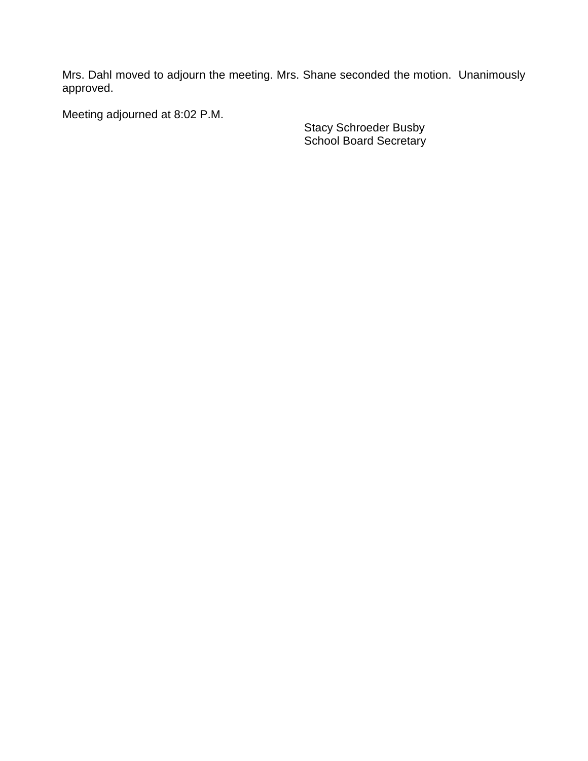Mrs. Dahl moved to adjourn the meeting. Mrs. Shane seconded the motion. Unanimously approved.

Meeting adjourned at 8:02 P.M.